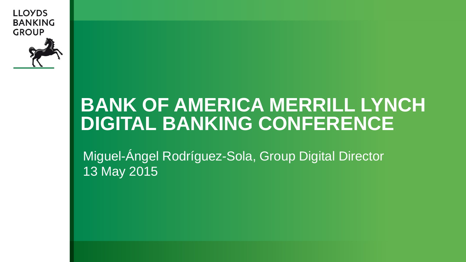**LLOYDS BANKING GROUP** 



# **TITLE SLIDE IS IN DIGITAL BANKING CONFERENCE BANK OF AMERICA MERRILL LYNCH**

**GREEN BACKGROUND.** Miguel-Ángel Rodríguez-Sola, Group Digital DirectorPresenters Name 13 May 2015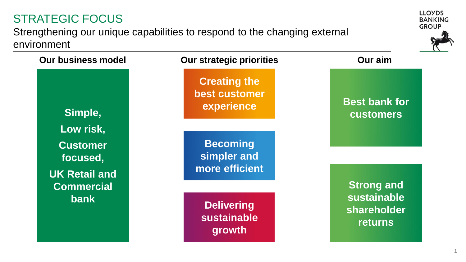#### STRATEGIC FOCUS

Strengthening our unique capabilities to respond to the changing external environment



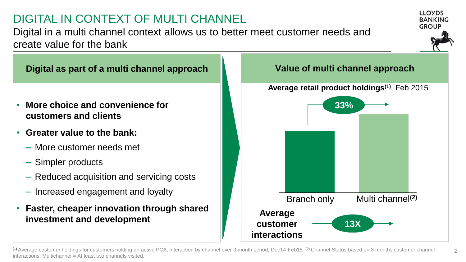#### DIGITAL IN CONTEXT OF MULTI CHANNEL

Digital in a multi channel context allows us to better meet customer needs and create value for the bank





#### **Digital as part of a multi channel approach Value of multi channel approach**

- **More choice and convenience for customers and clients**
- **Greater value to the bank:**
	- More customer needs met
	- Simpler products
	- Reduced acquisition and servicing costs
	- Increased engagement and loyalty
- **Faster, cheaper innovation through shared investment and development**



<sup>(1)</sup> Average customer holdings for customers holding an active PCA, interaction by channel over 3 month period, Dec14-Feb15. (2) Channel Status based on 3 months customer channel interactions; Multichannel = At least two channels visited.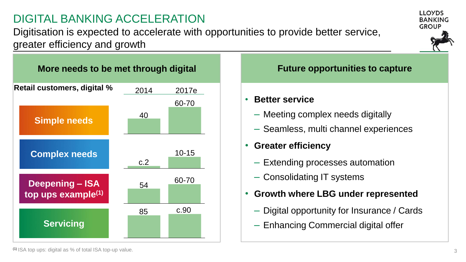## DIGITAL BANKING ACCELERATION

Digitisation is expected to accelerate with opportunities to provide better service, greater efficiency and growth



- **Better service**
	- Meeting complex needs digitally
	- Seamless, multi channel experiences
- **Greater efficiency**
	- Extending processes automation
	- Consolidating IT systems
- **Growth where LBG under represented**
	- Digital opportunity for Insurance / Cards
	- Enhancing Commercial digital offer

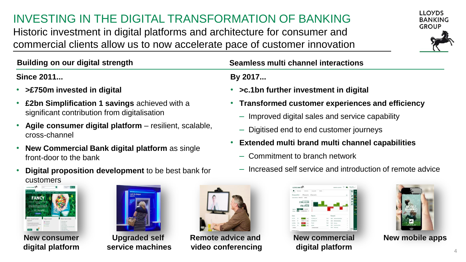## INVESTING IN THE DIGITAL TRANSFORMATION OF BANKING

Historic investment in digital platforms and architecture for consumer and commercial clients allow us to now accelerate pace of customer innovation



**Since 2011...**

- **>£750m invested in digital**
- **£2bn Simplification 1 savings** achieved with a significant contribution from digitalisation
- **Agile consumer digital platform**  resilient, scalable, cross-channel
- **New Commercial Bank digital platform** as single front-door to the bank
- **Digital proposition development** to be best bank for customers



**New consumer digital platform**



**service machines**



**Remote advice and video conferencing** Upgraded self **Remote advice and New commercial New mobile apps** 

#### **Building on our digital strength Seamless multi channel interactions**

#### **By 2017...**

- **>c.1bn further investment in digital**
	- **Transformed customer experiences and efficiency**
	- Improved digital sales and service capability
	- Digitised end to end customer journeys
- **Extended multi brand multi channel capabilities**
	- Commitment to branch network
	- Increased self service and introduction of remote advice

| $\mathbf{r}$                                                | <b>Interioring</b><br><b>Abdundar</b>                     | <b>Team Mid-</b>         | <b>Moder</b>   |                          |   |    |
|-------------------------------------------------------------|-----------------------------------------------------------|--------------------------|----------------|--------------------------|---|----|
| Group position                                              |                                                           | UK accounts US accounts. |                |                          | × |    |
|                                                             | because throw them.                                       |                          |                |                          |   | в  |
|                                                             | <b>CONTRACTOR</b><br>£160,122.99                          | ż                        |                |                          |   | Ã, |
|                                                             | £58,178.58                                                | ÷                        |                |                          |   |    |
|                                                             |                                                           |                          | ÷              |                          |   |    |
| <b>Lake Ave</b>                                             | Arrest Ma<br>$\overline{\phantom{a}}$<br>FIF consenses in |                          |                |                          |   |    |
|                                                             |                                                           |                          |                |                          |   |    |
| teler                                                       |                                                           |                          |                |                          |   |    |
|                                                             |                                                           | Reports                  |                | Research                 |   |    |
| hine                                                        |                                                           | <b>Barlatech W</b>       | to an          | A R Handburg Transaction |   |    |
|                                                             | t est                                                     | <b>Renderlyn R</b>       | <b>To Av</b>   | <b>RAN Motivershees</b>  |   |    |
| <b>Send Suffrage</b><br><b>Trim</b>                         | h.                                                        | <b>Service</b>           | <b>Total</b>   | <b>Ball Block</b>        |   |    |
| Dars<br><b>Ballybar</b><br><b>Subset</b><br><b>H</b><br>. . | <b>Corp.</b>                                              | ×                        | <b>Service</b> | <b>ERE Excellential</b>  | ï |    |

**New commercial digital platform**

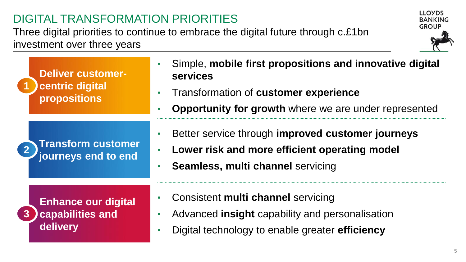#### DIGITAL TRANSFORMATION PRIORITIES

Three digital priorities to continue to embrace the digital future through c.£1bn investment over three years

| <b>Deliver customer-</b><br><b>centric digital</b><br><b>propositions</b> | Simple, mobile first propositions and innovative digital<br>services<br>Transformation of customer experience<br><b>Opportunity for growth</b> where we are under represented |
|---------------------------------------------------------------------------|-------------------------------------------------------------------------------------------------------------------------------------------------------------------------------|
| <b>Transform customer</b><br>journeys end to end                          | Better service through improved customer journeys<br>Lower risk and more efficient operating model<br><b>Seamless, multi channel servicing</b>                                |
| <b>Enhance our digital</b><br>capabilities and<br>delivery                | Consistent multi channel servicing<br>Advanced <b>insight</b> capability and personalisation<br>Digital technology to enable greater efficiency                               |

**LLOYDS BANKING GROUP**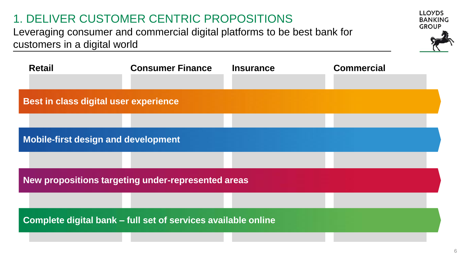## 1. DELIVER CUSTOMER CENTRIC PROPOSITIONS

Leveraging consumer and commercial digital platforms to be best bank for customers in a digital world



| <b>Retail</b>                                                 | <b>Consumer Finance</b> | <b>Insurance</b> | <b>Commercial</b> |  |  |  |
|---------------------------------------------------------------|-------------------------|------------------|-------------------|--|--|--|
| Best in class digital user experience                         |                         |                  |                   |  |  |  |
|                                                               |                         |                  |                   |  |  |  |
| <b>Mobile-first design and development</b>                    |                         |                  |                   |  |  |  |
|                                                               |                         |                  |                   |  |  |  |
| New propositions targeting under-represented areas            |                         |                  |                   |  |  |  |
|                                                               |                         |                  |                   |  |  |  |
| Complete digital bank – full set of services available online |                         |                  |                   |  |  |  |
|                                                               |                         |                  |                   |  |  |  |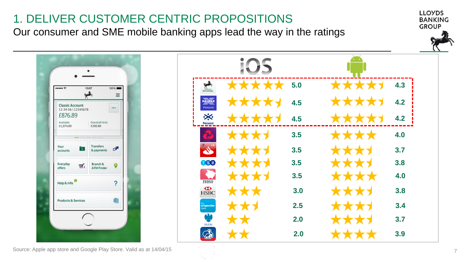#### **LLOYDS** 1. DELIVER CUSTOMER CENTRIC PROPOSITIONS **BANKING GROUP** Our consumer and SME mobile banking apps lead the way in the ratings iOS \*\*\*\* PERSONAL \*\*\* **5.0 4.3** 13:07  $......$ 100%  $\rightarrow$ Ξ \*\*\*\*\* **HALIFAX** \*\*\*\*\* **4.2 4.5 Classic Account** Personal  $\cdots$ 12-34-56 | 12345678 £876.89 ፠ **4.5 4.2** \*\*\*\*\* **XXXX** Available: Overdraft limit: Personal £1,074.89 £200.00 \*\*\*1  $3.5$  **and**  $\star$  **4.0** Your **Transfers** Ø  $\rightarrow$ **3.5 3.7** & payments accounts **060 3.5 3.8** Everyday Branch & ₹  $\mathbf{Q}$ offers **ATM Finder**  $3.5$  **4.0** Help & info TESCO <sup>2</sup> HSBC  $3.0$  **3.8** \*\*\* σ **Products & Services**  $2.5$  **3.4 3.4 co-operativ**<br>bank a. **2.0 3.7** Mobile  $\mathbb{Z}$  $2.0$   $\star \star \star \star$  3.9 **\*\***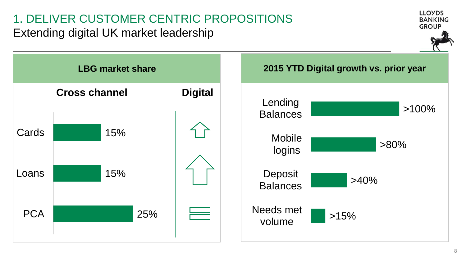#### 1. DELIVER CUSTOMER CENTRIC PROPOSITIONS Extending digital UK market leadership



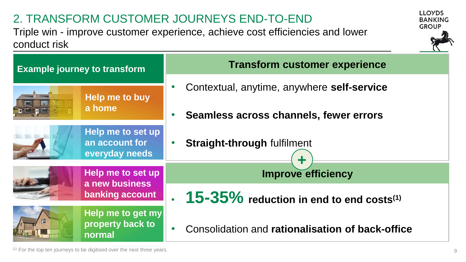## 2. TRANSFORM CUSTOMER JOURNEYS END-TO-END

Triple win - improve customer experience, achieve cost efficiencies and lower conduct risk





(1) For the top ten journeys to be digitised over the next three years.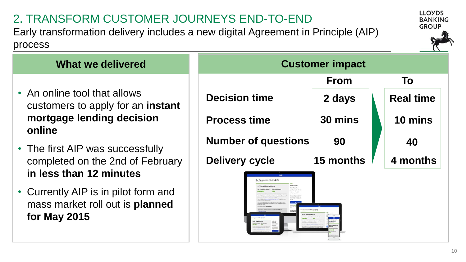#### 2. TRANSFORM CUSTOMER JOURNEYS END-TO-END

Early transformation delivery includes a new digital Agreement in Principle (AIP) process





#### • An online tool that allows customers to apply for an **instant mortgage lending decision online**

- The first AIP was successfully completed on the 2nd of February **in less than 12 minutes**
- Currently AIP is in pilot form and mass market roll out is **planned for May 2015**

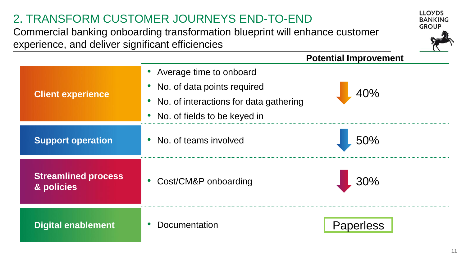#### 2. TRANSFORM CUSTOMER JOURNEYS END-TO-END

Commercial banking onboarding transformation blueprint will enhance customer experience, and deliver significant efficiencies



**LLOYDS** 

|                                          |                                                                                                                                          | <b>Potential Improvement</b> |
|------------------------------------------|------------------------------------------------------------------------------------------------------------------------------------------|------------------------------|
| <b>Client experience</b>                 | • Average time to onboard<br>• No. of data points required<br>• No. of interactions for data gathering<br>• No. of fields to be keyed in | 40%                          |
| <b>Support operation</b>                 | • No. of teams involved<br>                                                                                                              | 50%                          |
| <b>Streamlined process</b><br>& policies | • Cost/CM&P onboarding                                                                                                                   |                              |
| <b>Digital enablement</b>                | Documentation                                                                                                                            |                              |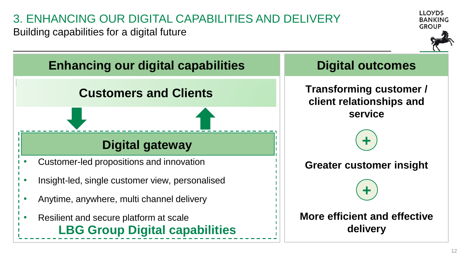## 3. ENHANCING OUR DIGITAL CAPABILITIES AND DELIVERY

Building capabilities for a digital future



**LOVDS** 

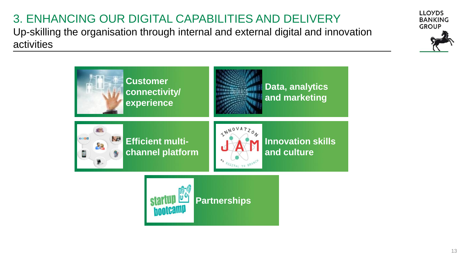# 3. ENHANCING OUR DIGITAL CAPABILITIES AND DELIVERY

Up-skilling the organisation through internal and external digital and innovation activities



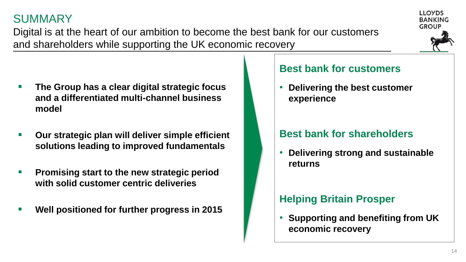#### SUMMARY

Digital is at the heart of our ambition to become the best bank for our customers and shareholders while supporting the UK economic recovery

- **The Group has a clear digital strategic focus and a differentiated multi-channel business model**
- **Our strategic plan will deliver simple efficient solutions leading to improved fundamentals**
- **Promising start to the new strategic period with solid customer centric deliveries**
- **Well positioned for further progress in 2015**

#### **Best bank for customers**

• **Delivering the best customer experience** 

#### **Best bank for shareholders**

• **Delivering strong and sustainable returns** 

#### **Helping Britain Prosper**

• **Supporting and benefiting from UK economic recovery**



LLOVDS